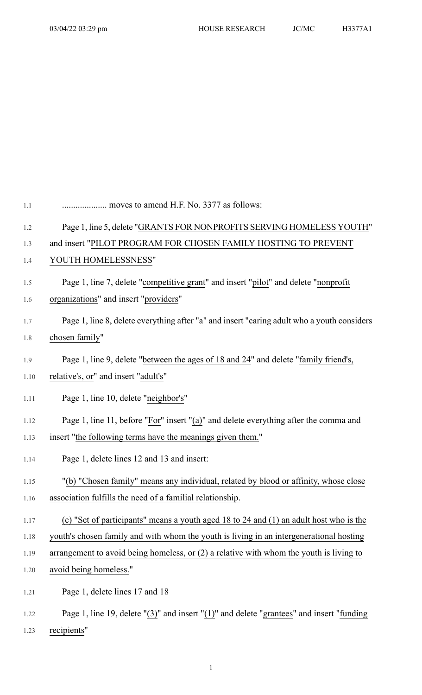| $1.1\,$ | moves to amend H.F. No. 3377 as follows:                                                                             |
|---------|----------------------------------------------------------------------------------------------------------------------|
| $1.2\,$ | Page 1, line 5, delete "GRANTS FOR NONPROFITS SERVING HOMELESS YOUTH"                                                |
| 1.3     | and insert "PILOT PROGRAM FOR CHOSEN FAMILY HOSTING TO PREVENT                                                       |
| 1.4     | YOUTH HOMELESSNESS"                                                                                                  |
| 1.5     | Page 1, line 7, delete "competitive grant" and insert "pilot" and delete "nonprofit                                  |
| 1.6     | organizations" and insert "providers"                                                                                |
| 1.7     | Page 1, line 8, delete everything after "a" and insert "caring adult who a youth considers                           |
| $1.8\,$ | chosen family"                                                                                                       |
| 1.9     | Page 1, line 9, delete "between the ages of 18 and 24" and delete "family friend's,                                  |
| 1.10    | relative's, or" and insert "adult's"                                                                                 |
| 1.11    | Page 1, line 10, delete "neighbor's"                                                                                 |
| 1.12    | Page 1, line 11, before "For" insert "(a)" and delete everything after the comma and                                 |
| 1.13    | insert "the following terms have the meanings given them."                                                           |
| 1.14    | Page 1, delete lines 12 and 13 and insert:                                                                           |
| 1.15    | "(b) "Chosen family" means any individual, related by blood or affinity, whose close                                 |
| 1.16    | association fulfills the need of a familial relationship.                                                            |
| 1.17    | (c) "Set of participants" means a youth aged 18 to 24 and (1) an adult host who is the                               |
| 1.18    | youth's chosen family and with whom the youth is living in an intergenerational hosting                              |
| 1.19    | arrangement to avoid being homeless, or $(2)$ a relative with whom the youth is living to                            |
| 1.20    | avoid being homeless."                                                                                               |
| 1.21    | Page 1, delete lines 17 and 18                                                                                       |
| 1.22    | Page 1, line 19, delete $\lceil (3) \rceil$ and insert $\lceil (1) \rceil$ and delete "grantees" and insert "funding |

1.23 recipients"

1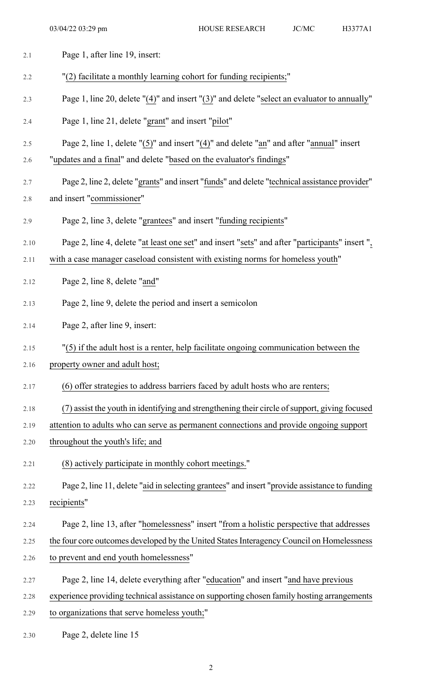| 2.1  | Page 1, after line 19, insert:                                                                  |
|------|-------------------------------------------------------------------------------------------------|
| 2.2  | "(2) facilitate a monthly learning cohort for funding recipients;"                              |
| 2.3  | Page 1, line 20, delete "(4)" and insert "(3)" and delete "select an evaluator to annually"     |
| 2.4  | Page 1, line 21, delete "grant" and insert "pilot"                                              |
| 2.5  | Page 2, line 1, delete " $(5)$ " and insert " $(4)$ " and delete "an" and after "annual" insert |
| 2.6  | "updates and a final" and delete "based on the evaluator's findings"                            |
| 2.7  | Page 2, line 2, delete "grants" and insert "funds" and delete "technical assistance provider"   |
| 2.8  | and insert "commissioner"                                                                       |
| 2.9  | Page 2, line 3, delete "grantees" and insert "funding recipients"                               |
| 2.10 | Page 2, line 4, delete "at least one set" and insert "sets" and after "participants" insert ",  |
| 2.11 | with a case manager caseload consistent with existing norms for homeless youth"                 |
| 2.12 | Page 2, line 8, delete "and"                                                                    |
| 2.13 | Page 2, line 9, delete the period and insert a semicolon                                        |
| 2.14 | Page 2, after line 9, insert:                                                                   |
| 2.15 | "(5) if the adult host is a renter, help facilitate ongoing communication between the           |
| 2.16 | property owner and adult host;                                                                  |
| 2.17 | (6) offer strategies to address barriers faced by adult hosts who are renters;                  |
| 2.18 | (7) assist the youth in identifying and strengthening their circle of support, giving focused   |
| 2.19 | attention to adults who can serve as permanent connections and provide ongoing support          |
| 2.20 | throughout the youth's life; and                                                                |
| 2.21 | (8) actively participate in monthly cohort meetings."                                           |
| 2.22 | Page 2, line 11, delete "aid in selecting grantees" and insert "provide assistance to funding   |
| 2.23 | recipients"                                                                                     |
| 2.24 | Page 2, line 13, after "homelessness" insert "from a holistic perspective that addresses        |
| 2.25 | the four core outcomes developed by the United States Interagency Council on Homelessness       |
| 2.26 | to prevent and end youth homelessness"                                                          |
| 2.27 | Page 2, line 14, delete everything after "education" and insert "and have previous              |
| 2.28 | experience providing technical assistance on supporting chosen family hosting arrangements      |
| 2.29 | to organizations that serve homeless youth;"                                                    |
| 2.30 | Page 2, delete line 15                                                                          |